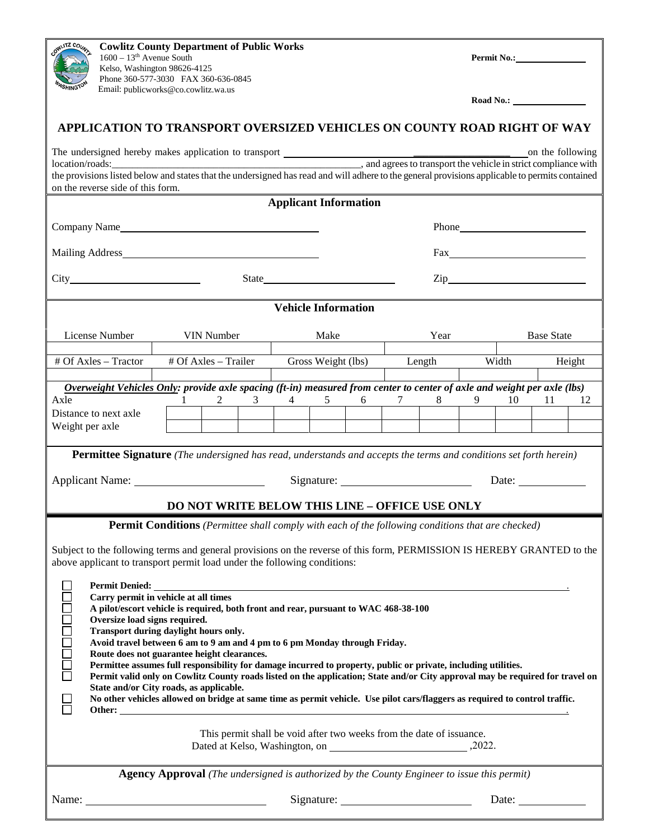| LUTZ COL<br>$1600 - 13th$ Avenue South                                                                                                                                                             | <b>Cowlitz County Department of Public Works</b><br>Kelso, Washington 98626-4125<br>Phone 360-577-3030 FAX 360-636-0845 |                                |                                                                                      |                                                          |  |
|----------------------------------------------------------------------------------------------------------------------------------------------------------------------------------------------------|-------------------------------------------------------------------------------------------------------------------------|--------------------------------|--------------------------------------------------------------------------------------|----------------------------------------------------------|--|
| Email: publicworks@co.cowlitz.wa.us                                                                                                                                                                |                                                                                                                         |                                |                                                                                      |                                                          |  |
| APPLICATION TO TRANSPORT OVERSIZED VEHICLES ON COUNTY ROAD RIGHT OF WAY                                                                                                                            |                                                                                                                         |                                |                                                                                      |                                                          |  |
|                                                                                                                                                                                                    |                                                                                                                         |                                |                                                                                      |                                                          |  |
| on the reverse side of this form.                                                                                                                                                                  |                                                                                                                         |                                |                                                                                      |                                                          |  |
| <b>Applicant Information</b>                                                                                                                                                                       |                                                                                                                         |                                |                                                                                      |                                                          |  |
|                                                                                                                                                                                                    |                                                                                                                         |                                |                                                                                      |                                                          |  |
|                                                                                                                                                                                                    |                                                                                                                         |                                |                                                                                      |                                                          |  |
| State                                                                                                                                                                                              |                                                                                                                         |                                |                                                                                      |                                                          |  |
| <b>Vehicle Information</b>                                                                                                                                                                         |                                                                                                                         |                                |                                                                                      |                                                          |  |
| License Number                                                                                                                                                                                     | VIN Number                                                                                                              | Make                           | Year                                                                                 | <b>Base State</b>                                        |  |
| # Of Axles - Tractor                                                                                                                                                                               | # Of Axles - Trailer                                                                                                    | Gross Weight (lbs)             | Length                                                                               | Width<br>Height                                          |  |
| Overweight Vehicles Only: provide axle spacing (ft-in) measured from center to center of axle and weight per axle (lbs)                                                                            |                                                                                                                         |                                |                                                                                      |                                                          |  |
| Axle<br>Distance to next axle                                                                                                                                                                      | $2 \qquad \qquad 3$<br>1                                                                                                | $4\overline{ }$<br>$5\qquad 6$ | $8 \qquad \qquad$                                                                    | 10<br>12<br>-11-                                         |  |
| Weight per axle                                                                                                                                                                                    |                                                                                                                         |                                |                                                                                      |                                                          |  |
| <b>Permittee Signature</b> (The undersigned has read, understands and accepts the terms and conditions set forth herein)                                                                           |                                                                                                                         |                                |                                                                                      |                                                          |  |
|                                                                                                                                                                                                    |                                                                                                                         |                                | Date: $\frac{1}{\sqrt{1-\frac{1}{2}}\sqrt{1-\frac{1}{2}}\left(1-\frac{1}{2}\right)}$ |                                                          |  |
| <b>DO NOT WRITE BELOW THIS LINE - OFFICE USE ONLY</b>                                                                                                                                              |                                                                                                                         |                                |                                                                                      |                                                          |  |
| <b>Permit Conditions</b> (Permittee shall comply with each of the following conditions that are checked)                                                                                           |                                                                                                                         |                                |                                                                                      |                                                          |  |
| Subject to the following terms and general provisions on the reverse of this form, PERMISSION IS HEREBY GRANTED to the<br>above applicant to transport permit load under the following conditions: |                                                                                                                         |                                |                                                                                      |                                                          |  |
| Permit Denied: _                                                                                                                                                                                   |                                                                                                                         |                                |                                                                                      |                                                          |  |
| Carry permit in vehicle at all times<br>A pilot/escort vehicle is required, both front and rear, pursuant to WAC 468-38-100                                                                        |                                                                                                                         |                                |                                                                                      |                                                          |  |
| Oversize load signs required.<br>Transport during daylight hours only.                                                                                                                             |                                                                                                                         |                                |                                                                                      |                                                          |  |
| Avoid travel between 6 am to 9 am and 4 pm to 6 pm Monday through Friday.<br>Route does not guarantee height clearances.                                                                           |                                                                                                                         |                                |                                                                                      |                                                          |  |
| <b>OURDOOUTION</b><br>Permittee assumes full responsibility for damage incurred to property, public or private, including utilities.                                                               |                                                                                                                         |                                |                                                                                      |                                                          |  |
| Permit valid only on Cowlitz County roads listed on the application; State and/or City approval may be required for travel on<br>State and/or City roads, as applicable.                           |                                                                                                                         |                                |                                                                                      |                                                          |  |
| No other vehicles allowed on bridge at same time as permit vehicle. Use pilot cars/flaggers as required to control traffic.                                                                        |                                                                                                                         |                                |                                                                                      |                                                          |  |
| This permit shall be void after two weeks from the date of issuance.                                                                                                                               |                                                                                                                         |                                |                                                                                      |                                                          |  |
| <b>Agency Approval</b> (The undersigned is authorized by the County Engineer to issue this permit)                                                                                                 |                                                                                                                         |                                |                                                                                      |                                                          |  |
|                                                                                                                                                                                                    | Name: $\frac{1}{\sqrt{1-\frac{1}{2}}\left(\frac{1}{2}-\frac{1}{2}\right)}$                                              |                                |                                                                                      | Date: $\frac{1}{\sqrt{1-\frac{1}{2}} \cdot \frac{1}{2}}$ |  |